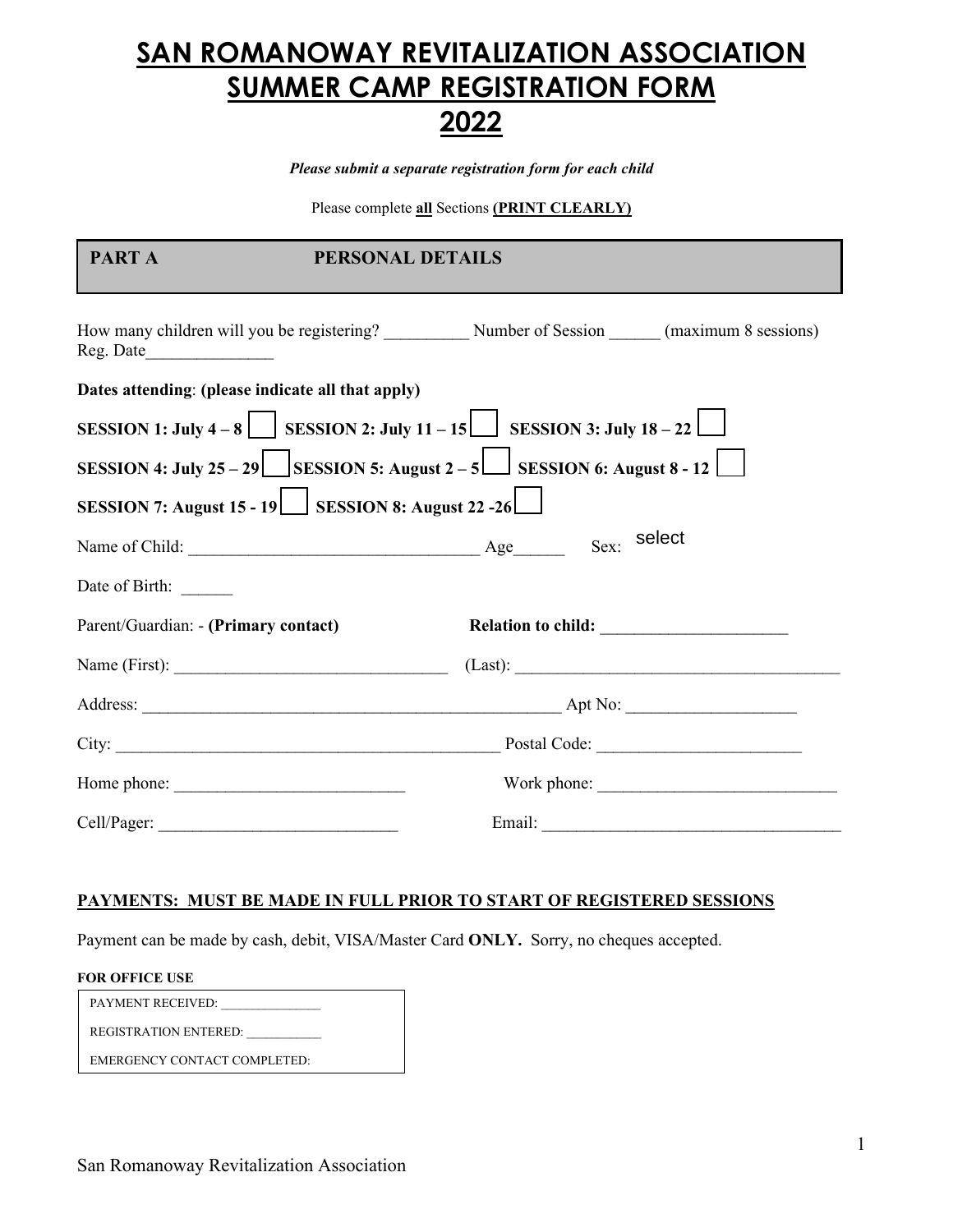# **SAN ROMANOWAY REVITALIZATION ASSOCIATION SUMMER CAMP REGISTRATION FORM 2022**

*Please submit a separate registration form for each child*

Please complete **all** Sections **(PRINT CLEARLY)** 

| PART A                               | PERSONAL DETAILS                                   |                                                                                     |
|--------------------------------------|----------------------------------------------------|-------------------------------------------------------------------------------------|
|                                      |                                                    |                                                                                     |
|                                      | Dates attending: (please indicate all that apply)  |                                                                                     |
|                                      |                                                    | SESSION 1: July 4 – 8 $\Box$ SESSION 2: July 11 – 15 SESSION 3: July 18 – 22 $\Box$ |
|                                      |                                                    | SESSION 4: July 25 – 29 SESSION 5: August 2 – 5 SESSION 6: August 8 - 12            |
|                                      | SESSION 7: August 15 - 19 SESSION 8: August 22 -26 |                                                                                     |
|                                      |                                                    | Sex: select                                                                         |
| Date of Birth: ______                |                                                    |                                                                                     |
| Parent/Guardian: - (Primary contact) |                                                    |                                                                                     |
|                                      |                                                    |                                                                                     |
|                                      |                                                    |                                                                                     |
|                                      |                                                    |                                                                                     |
|                                      |                                                    |                                                                                     |
|                                      |                                                    |                                                                                     |

## **PAYMENTS: MUST BE MADE IN FULL PRIOR TO START OF REGISTERED SESSIONS**

Payment can be made by cash, debit, VISA/Master Card **ONLY.** Sorry, no cheques accepted.

### **FOR OFFICE USE**

| <b>PAYMENT RECEIVED:</b>     |
|------------------------------|
| REGISTRATION ENTERED:        |
| EMERGENCY CONTACT COMPLETED: |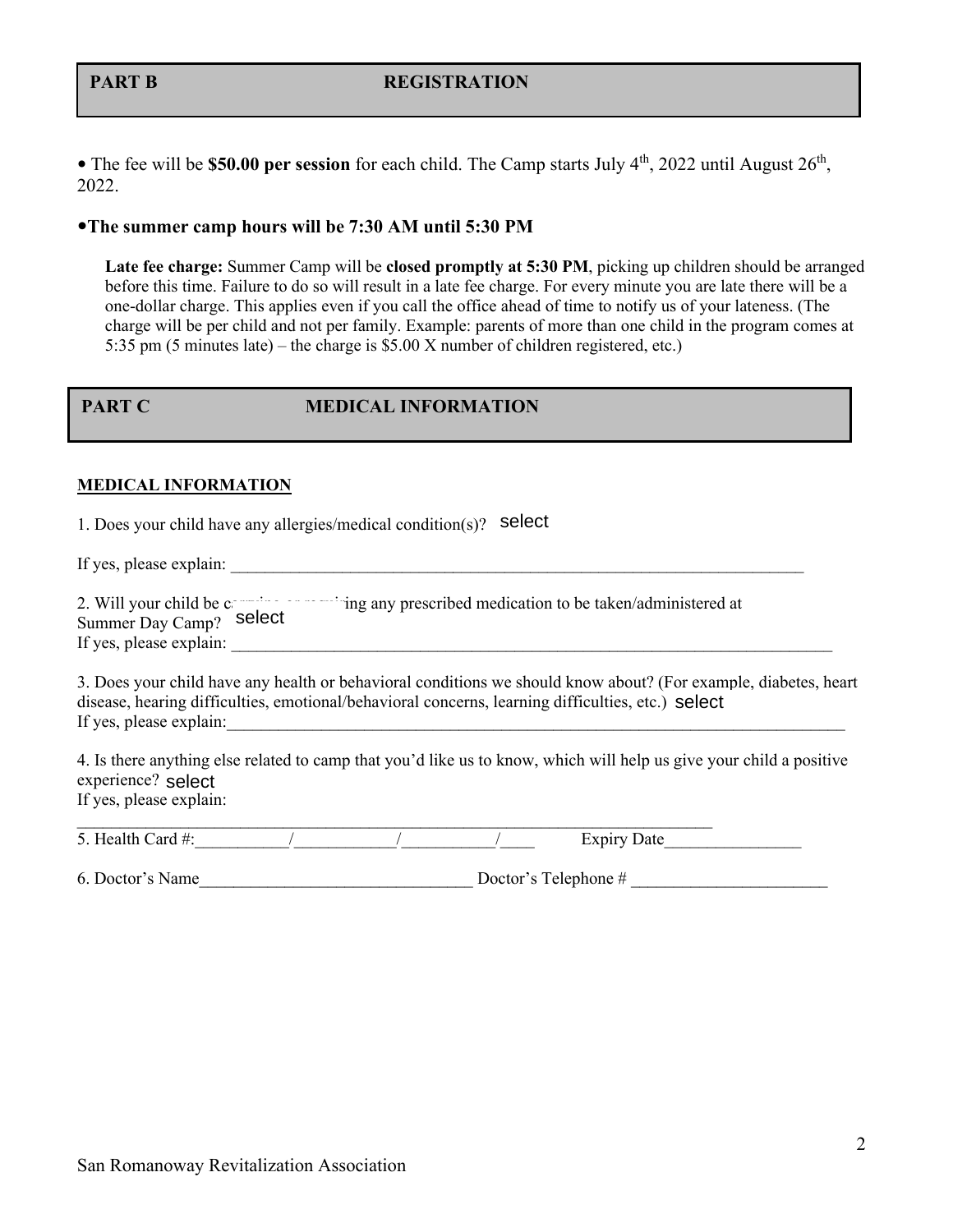# **PART B** REGISTRATION

• The fee will be **\$50.00 per session** for each child. The Camp starts July 4<sup>th</sup>, 2022 until August 26<sup>th</sup>, 2022.

# **The summer camp hours will be 7:30 AM until 5:30 PM**

**Late fee charge:** Summer Camp will be **closed promptly at 5:30 PM**, picking up children should be arranged before this time. Failure to do so will result in a late fee charge. For every minute you are late there will be a one-dollar charge. This applies even if you call the office ahead of time to notify us of your lateness. (The charge will be per child and not per family. Example: parents of more than one child in the program comes at 5:35 pm (5 minutes late) – the charge is \$5.00 X number of children registered, etc.)

# **PART C MEDICAL INFORMATION**

### **MEDICAL INFORMATION**

1. Does your child have any allergies/medical condition(s)? select

If yes, please explain:  $\Box$ 

| 2. Will your child be c | ing any prescribed medication to be taken/administered at |
|-------------------------|-----------------------------------------------------------|
| Summer Day Camp? select |                                                           |
| If yes, please explain: |                                                           |

3. Does your child have any health or behavioral conditions we should know about? (For example, diabetes, heart disease, hearing difficulties, emotional/behavioral concerns, learning difficulties, etc.) select If yes, please explain:

4. Is there anything else related to camp that you'd like us to know, which will help us give your child a positive experience? selectIf yes, please explain:

| $5 \text{ H}$<br>`ord∴<br><u>.</u> |  | . |  |
|------------------------------------|--|---|--|

6. Doctor's Name Doctor's Telephone #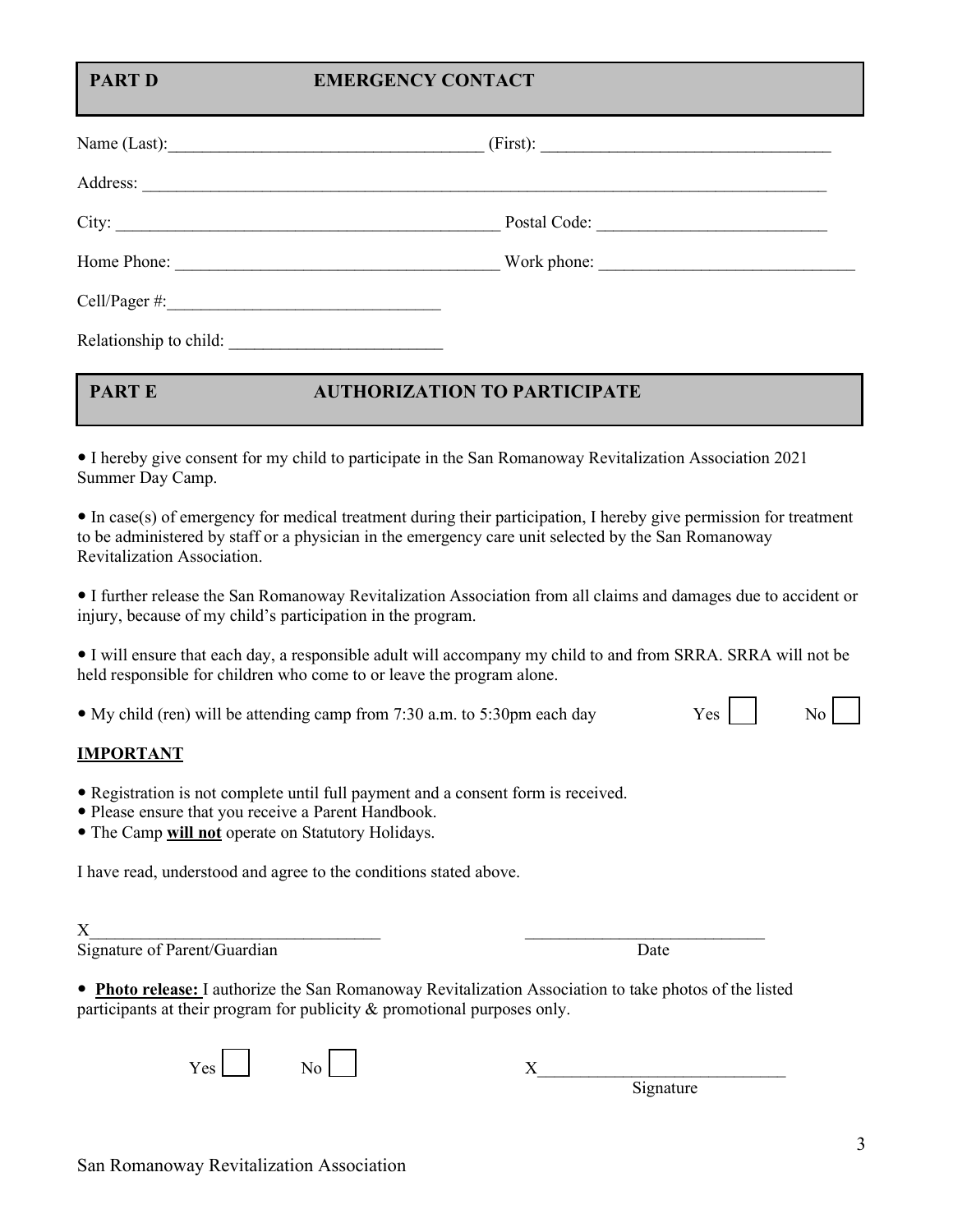# **PART D EMERGENCY CONTACT**

|                        | (First):     |  |
|------------------------|--------------|--|
|                        |              |  |
| City:                  | Postal Code: |  |
|                        | Work phone:  |  |
|                        |              |  |
| Relationship to child: |              |  |

# **PART E AUTHORIZATION TO PARTICIPATE**

 I hereby give consent for my child to participate in the San Romanoway Revitalization Association 2021 Summer Day Camp.

 In case(s) of emergency for medical treatment during their participation, I hereby give permission for treatment to be administered by staff or a physician in the emergency care unit selected by the San Romanoway Revitalization Association.

 I further release the San Romanoway Revitalization Association from all claims and damages due to accident or injury, because of my child's participation in the program.

 I will ensure that each day, a responsible adult will accompany my child to and from SRRA. SRRA will not be held responsible for children who come to or leave the program alone.

• My child (ren) will be attending camp from 7:30 a.m. to 5:30pm each day  $Yes$  No  $\sim$ 

# **IMPORTANT**

- Registration is not complete until full payment and a consent form is received.
- Please ensure that you receive a Parent Handbook.
- The Camp **will not** operate on Statutory Holidays.

I have read, understood and agree to the conditions stated above.

| Signature of Parent/Guardian | Jate |
|------------------------------|------|

 **Photo release:** I authorize the San Romanoway Revitalization Association to take photos of the listed participants at their program for publicity & promotional purposes only.

| . |  |  |
|---|--|--|
|   |  |  |

Signature



| ٦ | ٦<br>v       |  |
|---|--------------|--|
|   | I            |  |
|   |              |  |
| × | r<br>۰.<br>v |  |
|   |              |  |